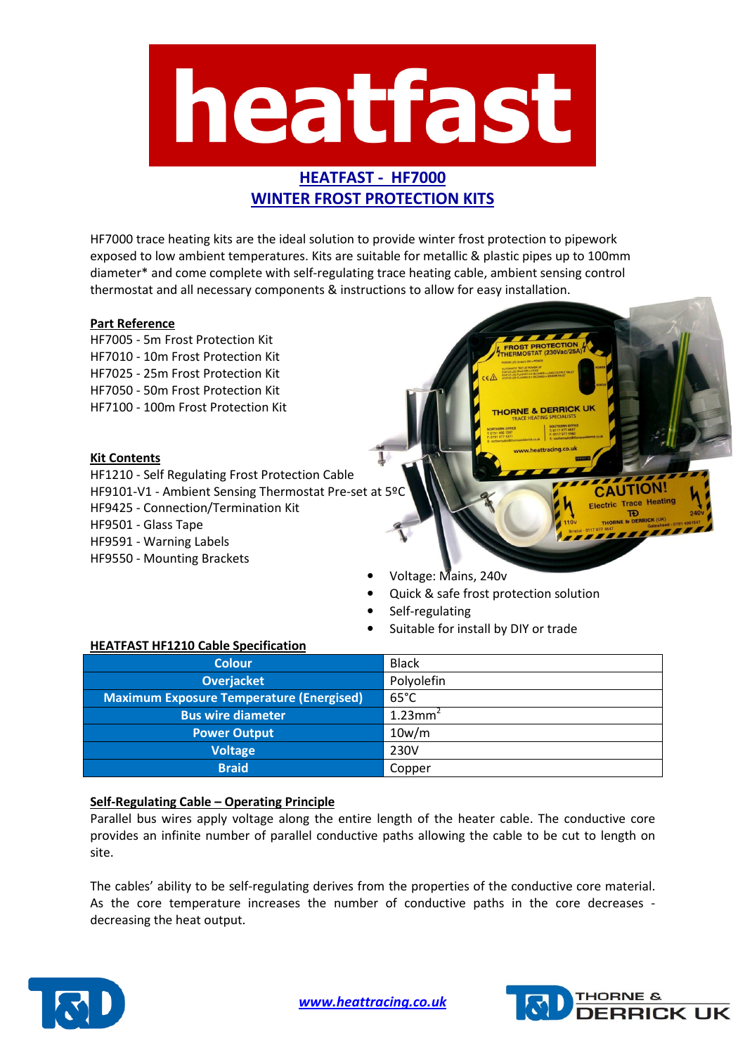

# HEATFAST - HF7000 WINTER FROST PROTECTION KITS

HF7000 trace heating kits are the ideal solution to provide winter frost protection to pipework exposed to low ambient temperatures. Kits are suitable for metallic & plastic pipes up to 100mm diameter\* and come complete with self-regulating trace heating cable, ambient sensing control thermostat and all necessary components & instructions to allow for easy installation.

## Part Reference

HF7005 - 5m Frost Protection Kit HF7010 - 10m Frost Protection Kit HF7025 - 25m Frost Protection Kit HF7050 - 50m Frost Protection Kit HF7100 - 100m Frost Protection Kit

## Kit Contents

HF1210 - Self Regulating Frost Protection Cable HF9101-V1 - Ambient Sensing Thermostat Pre-set at 5º HF9425 - Connection/Termination Kit HF9501 - Glass Tape HF9591 - Warning Labels HF9550 - Mounting Brackets

- Voltage: Mains, 240v
- Quick & safe frost protection solution

THORNE & DERRICK UN

**CAUTION! Electric Trace Heating** 

- Self-regulating
- Suitable for install by DIY or trade

#### HEATFAST HF1210 Cable Specification

| <b>Colour</b>                                   | <b>Black</b>           |
|-------------------------------------------------|------------------------|
| <b>Overjacket</b>                               | Polyolefin             |
| <b>Maximum Exposure Temperature (Energised)</b> | $65^{\circ}$ C         |
| <b>Bus wire diameter</b>                        | $1.23$ mm <sup>2</sup> |
| <b>Power Output</b>                             | 10w/m                  |
| <b>Voltage</b>                                  | 230V                   |
| <b>Braid</b>                                    | Copper                 |

## Self-Regulating Cable – Operating Principle

Parallel bus wires apply voltage along the entire length of the heater cable. The conductive core provides an infinite number of parallel conductive paths allowing the cable to be cut to length on site.

The cables' ability to be self-regulating derives from the properties of the conductive core material. As the core temperature increases the number of conductive paths in the core decreases decreasing the heat output.